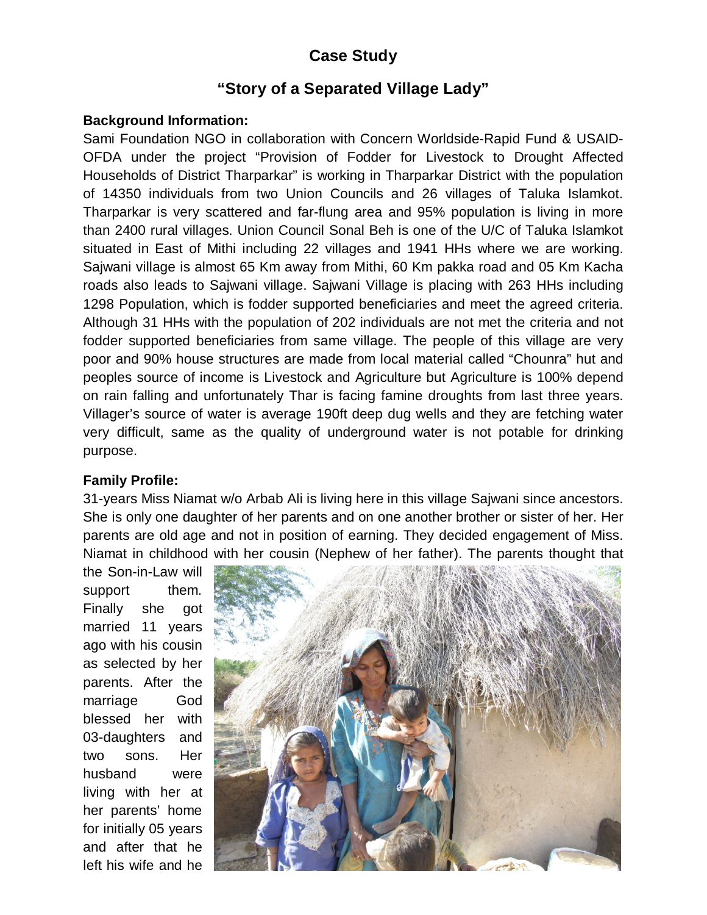# **Case Study**

## **"Story of a Separated Village Lady"**

## **Background Information:**

Sami Foundation NGO in collaboration with Concern Worldside-Rapid Fund & USAID-OFDA under the project "Provision of Fodder for Livestock to Drought Affected Households of District Tharparkar" is working in Tharparkar District with the population of 14350 individuals from two Union Councils and 26 villages of Taluka Islamkot. Tharparkar is very scattered and far-flung area and 95% population is living in more than 2400 rural villages. Union Council Sonal Beh is one of the U/C of Taluka Islamkot situated in East of Mithi including 22 villages and 1941 HHs where we are working. Sajwani village is almost 65 Km away from Mithi, 60 Km pakka road and 05 Km Kacha roads also leads to Sajwani village. Sajwani Village is placing with 263 HHs including 1298 Population, which is fodder supported beneficiaries and meet the agreed criteria. Although 31 HHs with the population of 202 individuals are not met the criteria and not fodder supported beneficiaries from same village. The people of this village are very poor and 90% house structures are made from local material called "Chounra" hut and peoples source of income is Livestock and Agriculture but Agriculture is 100% depend on rain falling and unfortunately Thar is facing famine droughts from last three years. Villager's source of water is average 190ft deep dug wells and they are fetching water very difficult, same as the quality of underground water is not potable for drinking purpose.

## **Family Profile:**

31-years Miss Niamat w/o Arbab Ali is living here in this village Sajwani since ancestors. She is only one daughter of her parents and on one another brother or sister of her. Her parents are old age and not in position of earning. They decided engagement of Miss. Niamat in childhood with her cousin (Nephew of her father). The parents thought that

the Son-in-Law will support them. Finally she got married 11 years ago with his cousin as selected by her parents. After the marriage God blessed her with 03-daughters and two sons. Her husband were living with her at her parents' home for initially 05 years and after that he left his wife and he

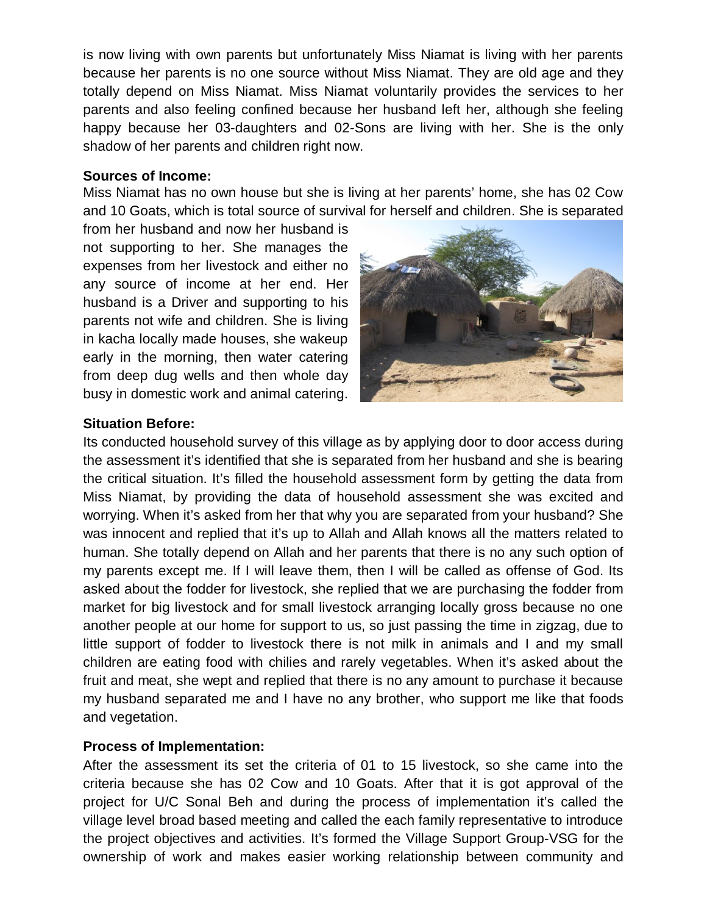is now living with own parents but unfortunately Miss Niamat is living with her parents because her parents is no one source without Miss Niamat. They are old age and they totally depend on Miss Niamat. Miss Niamat voluntarily provides the services to her parents and also feeling confined because her husband left her, although she feeling happy because her 03-daughters and 02-Sons are living with her. She is the only shadow of her parents and children right now.

#### **Sources of Income:**

Miss Niamat has no own house but she is living at her parents' home, she has 02 Cow and 10 Goats, which is total source of survival for herself and children. She is separated

from her husband and now her husband is not supporting to her. She manages the expenses from her livestock and either no any source of income at her end. Her husband is a Driver and supporting to his parents not wife and children. She is living in kacha locally made houses, she wakeup early in the morning, then water catering from deep dug wells and then whole day busy in domestic work and animal catering.



## **Situation Before:**

Its conducted household survey of this village as by applying door to door access during the assessment it's identified that she is separated from her husband and she is bearing the critical situation. It's filled the household assessment form by getting the data from Miss Niamat, by providing the data of household assessment she was excited and worrying. When it's asked from her that why you are separated from your husband? She was innocent and replied that it's up to Allah and Allah knows all the matters related to human. She totally depend on Allah and her parents that there is no any such option of my parents except me. If I will leave them, then I will be called as offense of God. Its asked about the fodder for livestock, she replied that we are purchasing the fodder from market for big livestock and for small livestock arranging locally gross because no one another people at our home for support to us, so just passing the time in zigzag, due to little support of fodder to livestock there is not milk in animals and I and my small children are eating food with chilies and rarely vegetables. When it's asked about the fruit and meat, she wept and replied that there is no any amount to purchase it because my husband separated me and I have no any brother, who support me like that foods and vegetation.

## **Process of Implementation:**

After the assessment its set the criteria of 01 to 15 livestock, so she came into the criteria because she has 02 Cow and 10 Goats. After that it is got approval of the project for U/C Sonal Beh and during the process of implementation it's called the village level broad based meeting and called the each family representative to introduce the project objectives and activities. It's formed the Village Support Group-VSG for the ownership of work and makes easier working relationship between community and